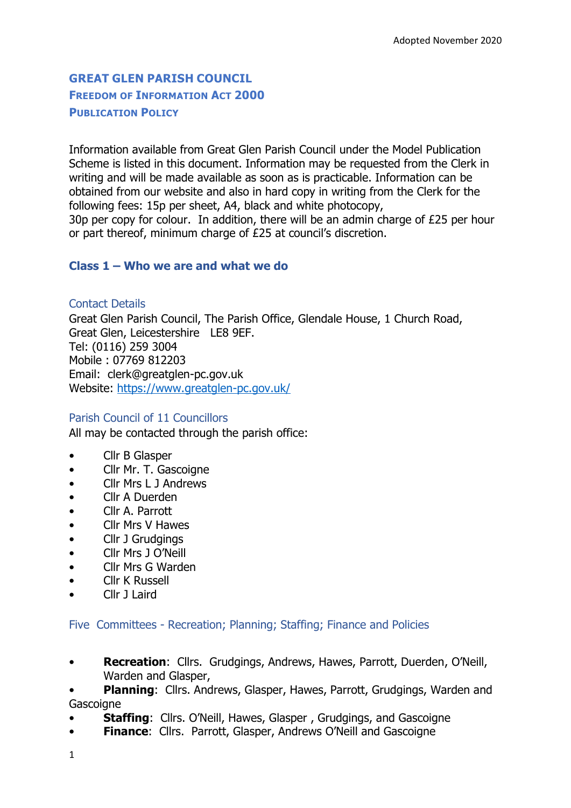# **GREAT GLEN PARISH COUNCIL FREEDOM OF INFORMATION ACT 2000 PUBLICATION POLICY**

Information available from Great Glen Parish Council under the Model Publication Scheme is listed in this document. Information may be requested from the Clerk in writing and will be made available as soon as is practicable. Information can be obtained from our website and also in hard copy in writing from the Clerk for the following fees: 15p per sheet, A4, black and white photocopy, 30p per copy for colour. In addition, there will be an admin charge of £25 per hour or part thereof, minimum charge of £25 at council's discretion.

## **Class 1 – Who we are and what we do**

Contact Details Great Glen Parish Council, The Parish Office, Glendale House, 1 Church Road, Great Glen, Leicestershire LE8 9EF. Tel: (0116) 259 3004 Mobile : 07769 812203 Email: clerk@greatglen-pc.gov.uk Website:<https://www.greatglen-pc.gov.uk/>

#### Parish Council of 11 Councillors

All may be contacted through the parish office:

- Cllr B Glasper
- Cllr Mr. T. Gascoigne
- Cllr Mrs L J Andrews
- Cllr A Duerden
- Cllr A. Parrott
- Cllr Mrs V Hawes
- Cllr J Grudgings
- Cllr Mrs J O'Neill
- Cllr Mrs G Warden
- Cllr K Russell
- Cllr 11 aird

Five Committees - Recreation; Planning; Staffing; Finance and Policies

• **Recreation**: Cllrs. Grudgings, Andrews, Hawes, Parrott, Duerden, O'Neill, Warden and Glasper,

• **Planning**: Cllrs. Andrews, Glasper, Hawes, Parrott, Grudgings, Warden and **Gascoigne** 

- **Staffing:** Cllrs. O'Neill, Hawes, Glasper, Grudgings, and Gascoigne
- **Finance**: Cllrs. Parrott, Glasper, Andrews O'Neill and Gascoigne
- 1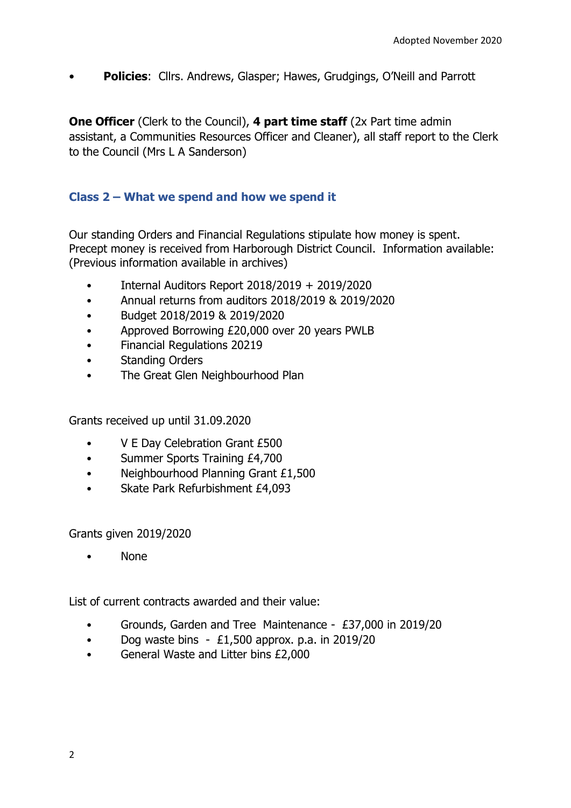• **Policies**: Cllrs. Andrews, Glasper; Hawes, Grudgings, O'Neill and Parrott

**One Officer** (Clerk to the Council), **4 part time staff** (2x Part time admin assistant, a Communities Resources Officer and Cleaner), all staff report to the Clerk to the Council (Mrs L A Sanderson)

## **Class 2 – What we spend and how we spend it**

Our standing Orders and Financial Regulations stipulate how money is spent. Precept money is received from Harborough District Council. Information available: (Previous information available in archives)

- Internal Auditors Report 2018/2019 + 2019/2020
- Annual returns from auditors 2018/2019 & 2019/2020
- Budget 2018/2019 & 2019/2020
- Approved Borrowing £20,000 over 20 years PWLB
- Financial Regulations 20219
- Standing Orders
- The Great Glen Neighbourhood Plan

Grants received up until 31.09.2020

- V E Day Celebration Grant £500
- Summer Sports Training £4,700
- Neighbourhood Planning Grant £1,500
- Skate Park Refurbishment £4,093

Grants given 2019/2020

• None

List of current contracts awarded and their value:

- Grounds, Garden and Tree Maintenance £37,000 in 2019/20
- Dog waste bins  $-$  £1,500 approx. p.a. in 2019/20
- General Waste and Litter bins £2,000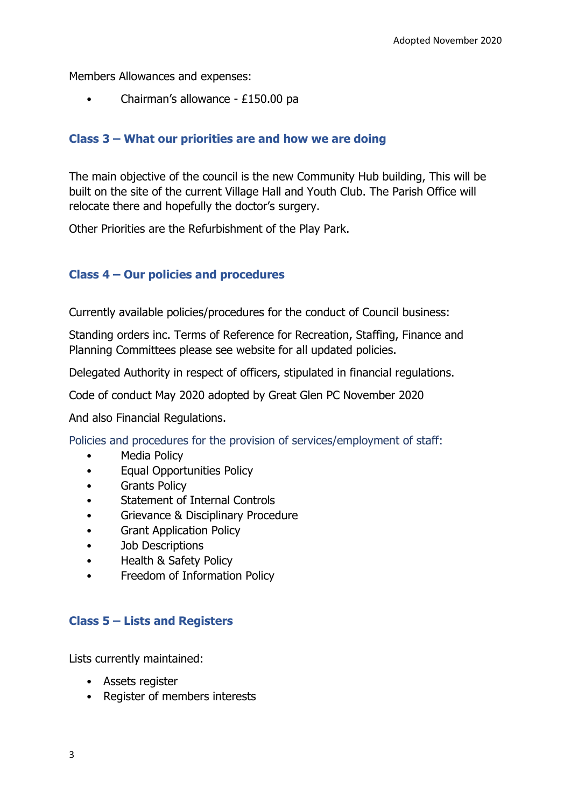Members Allowances and expenses:

• Chairman's allowance - £150.00 pa

## **Class 3 – What our priorities are and how we are doing**

The main objective of the council is the new Community Hub building, This will be built on the site of the current Village Hall and Youth Club. The Parish Office will relocate there and hopefully the doctor's surgery.

Other Priorities are the Refurbishment of the Play Park.

## **Class 4 – Our policies and procedures**

Currently available policies/procedures for the conduct of Council business:

Standing orders inc. Terms of Reference for Recreation, Staffing, Finance and Planning Committees please see website for all updated policies.

Delegated Authority in respect of officers, stipulated in financial regulations.

Code of conduct May 2020 adopted by Great Glen PC November 2020

And also Financial Regulations.

Policies and procedures for the provision of services/employment of staff:

- Media Policy
- Equal Opportunities Policy
- Grants Policy
- Statement of Internal Controls
- Grievance & Disciplinary Procedure
- Grant Application Policy
- Job Descriptions
- Health & Safety Policy
- Freedom of Information Policy

#### **Class 5 – Lists and Registers**

Lists currently maintained:

- Assets register
- Register of members interests